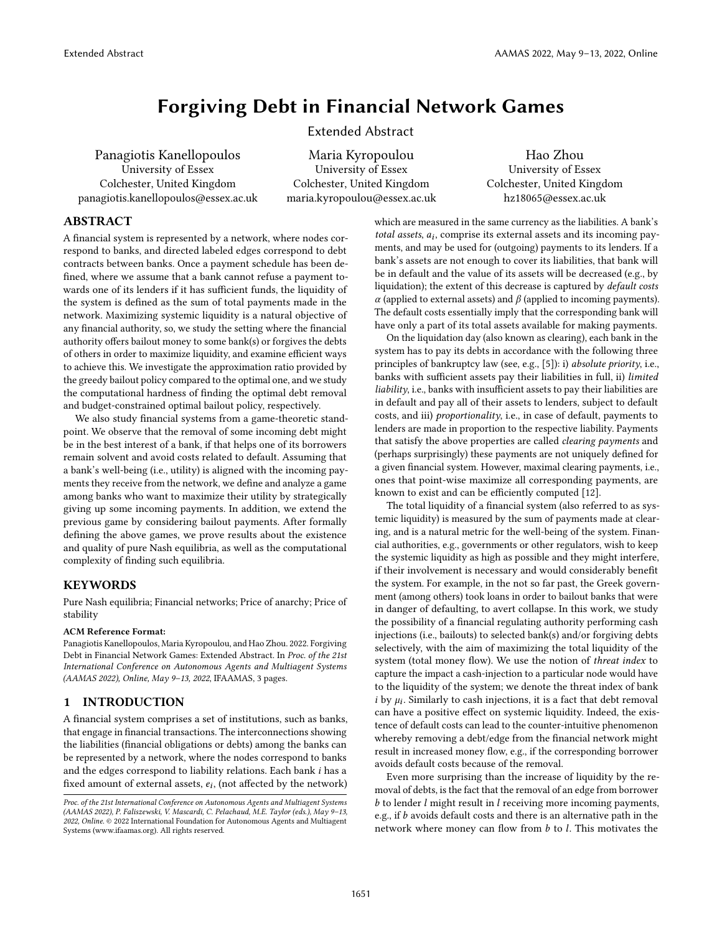# Forgiving Debt in Financial Network Games

Extended Abstract

Panagiotis Kanellopoulos University of Essex Colchester, United Kingdom panagiotis.kanellopoulos@essex.ac.uk

Maria Kyropoulou University of Essex Colchester, United Kingdom maria.kyropoulou@essex.ac.uk

Hao Zhou University of Essex Colchester, United Kingdom hz18065@essex.ac.uk

# ABSTRACT

A financial system is represented by a network, where nodes correspond to banks, and directed labeled edges correspond to debt contracts between banks. Once a payment schedule has been defined, where we assume that a bank cannot refuse a payment towards one of its lenders if it has sufficient funds, the liquidity of the system is defined as the sum of total payments made in the network. Maximizing systemic liquidity is a natural objective of any financial authority, so, we study the setting where the financial authority offers bailout money to some bank(s) or forgives the debts of others in order to maximize liquidity, and examine efficient ways to achieve this. We investigate the approximation ratio provided by the greedy bailout policy compared to the optimal one, and we study the computational hardness of finding the optimal debt removal and budget-constrained optimal bailout policy, respectively.

We also study financial systems from a game-theoretic standpoint. We observe that the removal of some incoming debt might be in the best interest of a bank, if that helps one of its borrowers remain solvent and avoid costs related to default. Assuming that a bank's well-being (i.e., utility) is aligned with the incoming payments they receive from the network, we define and analyze a game among banks who want to maximize their utility by strategically giving up some incoming payments. In addition, we extend the previous game by considering bailout payments. After formally defining the above games, we prove results about the existence and quality of pure Nash equilibria, as well as the computational complexity of finding such equilibria.

## **KEYWORDS**

Pure Nash equilibria; Financial networks; Price of anarchy; Price of stability

#### ACM Reference Format:

Panagiotis Kanellopoulos, Maria Kyropoulou, and Hao Zhou. 2022. Forgiving Debt in Financial Network Games: Extended Abstract. In Proc. of the 21st International Conference on Autonomous Agents and Multiagent Systems (AAMAS 2022), Online, May 9–13, 2022, IFAAMAS, [3](#page-2-0) pages.

## 1 INTRODUCTION

A financial system comprises a set of institutions, such as banks, that engage in financial transactions. The interconnections showing the liabilities (financial obligations or debts) among the banks can be represented by a network, where the nodes correspond to banks and the edges correspond to liability relations. Each bank  $i$  has a fixed amount of external assets,  $e_i$ , (not affected by the network)

which are measured in the same currency as the liabilities. A bank's total assets,  $a_i$ , comprise its external assets and its incoming payments, and may be used for (outgoing) payments to its lenders. If a bank's assets are not enough to cover its liabilities, that bank will be in default and the value of its assets will be decreased (e.g., by liquidation); the extent of this decrease is captured by default costs  $\alpha$  (applied to external assets) and  $\beta$  (applied to incoming payments). The default costs essentially imply that the corresponding bank will have only a part of its total assets available for making payments.

On the liquidation day (also known as clearing), each bank in the system has to pay its debts in accordance with the following three principles of bankruptcy law (see, e.g., [\[5\]](#page-2-1)): i) absolute priority, i.e., banks with sufficient assets pay their liabilities in full, ii) limited liability, i.e., banks with insufficient assets to pay their liabilities are in default and pay all of their assets to lenders, subject to default costs, and iii) proportionality, i.e., in case of default, payments to lenders are made in proportion to the respective liability. Payments that satisfy the above properties are called clearing payments and (perhaps surprisingly) these payments are not uniquely defined for a given financial system. However, maximal clearing payments, i.e., ones that point-wise maximize all corresponding payments, are known to exist and can be efficiently computed [\[12\]](#page-2-2).

The total liquidity of a financial system (also referred to as systemic liquidity) is measured by the sum of payments made at clearing, and is a natural metric for the well-being of the system. Financial authorities, e.g., governments or other regulators, wish to keep the systemic liquidity as high as possible and they might interfere, if their involvement is necessary and would considerably benefit the system. For example, in the not so far past, the Greek government (among others) took loans in order to bailout banks that were in danger of defaulting, to avert collapse. In this work, we study the possibility of a financial regulating authority performing cash injections (i.e., bailouts) to selected bank(s) and/or forgiving debts selectively, with the aim of maximizing the total liquidity of the system (total money flow). We use the notion of threat index to capture the impact a cash-injection to a particular node would have to the liquidity of the system; we denote the threat index of bank i by  $\mu_i$ . Similarly to cash injections, it is a fact that debt removal can have a positive effect on systemic liquidity. Indeed, the existence of default costs can lead to the counter-intuitive phenomenon whereby removing a debt/edge from the financial network might result in increased money flow, e.g., if the corresponding borrower avoids default costs because of the removal.

Even more surprising than the increase of liquidity by the removal of debts, is the fact that the removal of an edge from borrower  $b$  to lender  $l$  might result in  $l$  receiving more incoming payments, e.g., if  $b$  avoids default costs and there is an alternative path in the network where money can flow from  $b$  to  $l$ . This motivates the

Proc. of the 21st International Conference on Autonomous Agents and Multiagent Systems (AAMAS 2022), P. Faliszewski, V. Mascardi, C. Pelachaud, M.E. Taylor (eds.), May 9–13, 2022, Online. © 2022 International Foundation for Autonomous Agents and Multiagent Systems (www.ifaamas.org). All rights reserved.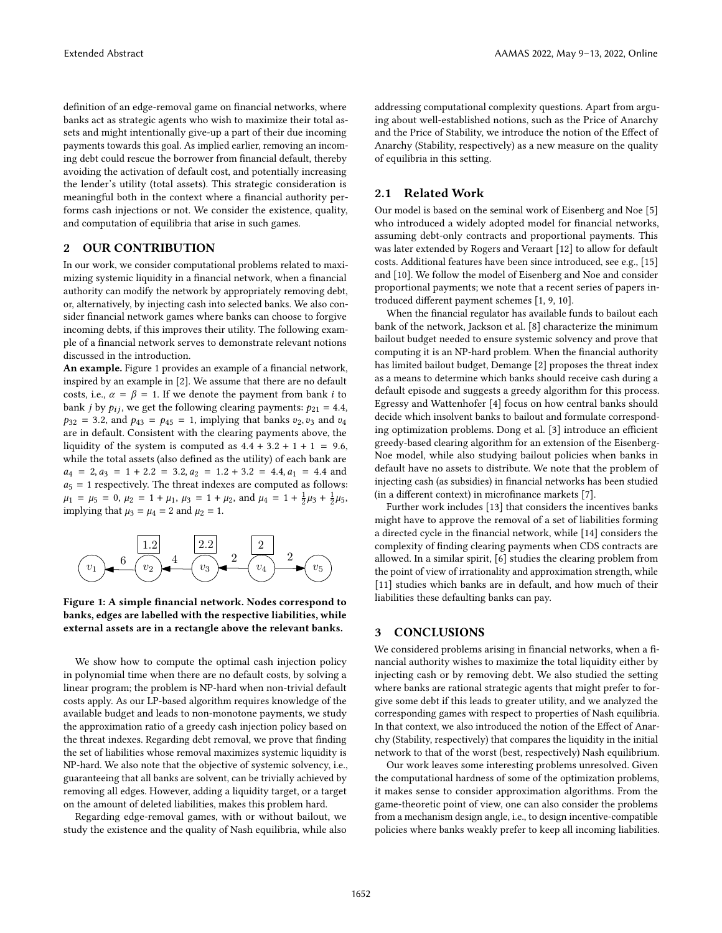definition of an edge-removal game on financial networks, where banks act as strategic agents who wish to maximize their total assets and might intentionally give-up a part of their due incoming payments towards this goal. As implied earlier, removing an incoming debt could rescue the borrower from financial default, thereby avoiding the activation of default cost, and potentially increasing the lender's utility (total assets). This strategic consideration is meaningful both in the context where a financial authority performs cash injections or not. We consider the existence, quality, and computation of equilibria that arise in such games.

#### 2 OUR CONTRIBUTION

In our work, we consider computational problems related to maximizing systemic liquidity in a financial network, when a financial authority can modify the network by appropriately removing debt, or, alternatively, by injecting cash into selected banks. We also consider financial network games where banks can choose to forgive incoming debts, if this improves their utility. The following example of a financial network serves to demonstrate relevant notions discussed in the introduction.

An example. Figure [1](#page-1-0) provides an example of a financial network, inspired by an example in [\[2\]](#page-2-3). We assume that there are no default costs, i.e.,  $\alpha = \beta = 1$ . If we denote the payment from bank *i* to bank *j* by  $p_{ij}$ , we get the following clearing payments:  $p_{21} = 4.4$ ,  $p_{32} = 3.2$ , and  $p_{43} = p_{45} = 1$ , implying that banks  $v_2, v_3$  and  $v_4$ are in default. Consistent with the clearing payments above, the liquidity of the system is computed as  $4.4 + 3.2 + 1 + 1 = 9.6$ , while the total assets (also defined as the utility) of each bank are  $a_4 = 2, a_3 = 1 + 2.2 = 3.2, a_2 = 1.2 + 3.2 = 4.4, a_1 = 4.4$  and  $a_5 = 1$  respectively. The threat indexes are computed as follows:  $\mu_1 = \mu_5 = 0, \mu_2 = 1 + \mu_1, \mu_3 = 1 + \mu_2, \text{ and } \mu_4 = 1 + \frac{1}{2}\mu_3 + \frac{1}{2}\mu_5,$ implying that  $\mu_3 = \mu_4 = 2$  and  $\mu_2 = 1$ .

<span id="page-1-0"></span>

Figure 1: A simple financial network. Nodes correspond to banks, edges are labelled with the respective liabilities, while external assets are in a rectangle above the relevant banks.

We show how to compute the optimal cash injection policy in polynomial time when there are no default costs, by solving a linear program; the problem is NP-hard when non-trivial default costs apply. As our LP-based algorithm requires knowledge of the available budget and leads to non-monotone payments, we study the approximation ratio of a greedy cash injection policy based on the threat indexes. Regarding debt removal, we prove that finding the set of liabilities whose removal maximizes systemic liquidity is NP-hard. We also note that the objective of systemic solvency, i.e., guaranteeing that all banks are solvent, can be trivially achieved by removing all edges. However, adding a liquidity target, or a target on the amount of deleted liabilities, makes this problem hard.

Regarding edge-removal games, with or without bailout, we study the existence and the quality of Nash equilibria, while also addressing computational complexity questions. Apart from arguing about well-established notions, such as the Price of Anarchy and the Price of Stability, we introduce the notion of the Effect of Anarchy (Stability, respectively) as a new measure on the quality of equilibria in this setting.

# 2.1 Related Work

Our model is based on the seminal work of Eisenberg and Noe [\[5\]](#page-2-1) who introduced a widely adopted model for financial networks, assuming debt-only contracts and proportional payments. This was later extended by Rogers and Veraart [\[12\]](#page-2-2) to allow for default costs. Additional features have been since introduced, see e.g., [\[15\]](#page-2-4) and [\[10\]](#page-2-5). We follow the model of Eisenberg and Noe and consider proportional payments; we note that a recent series of papers introduced different payment schemes [\[1,](#page-2-6) [9,](#page-2-7) [10\]](#page-2-5).

When the financial regulator has available funds to bailout each bank of the network, Jackson et al. [\[8\]](#page-2-8) characterize the minimum bailout budget needed to ensure systemic solvency and prove that computing it is an NP-hard problem. When the financial authority has limited bailout budget, Demange [\[2\]](#page-2-3) proposes the threat index as a means to determine which banks should receive cash during a default episode and suggests a greedy algorithm for this process. Egressy and Wattenhofer [\[4\]](#page-2-9) focus on how central banks should decide which insolvent banks to bailout and formulate corresponding optimization problems. Dong et al. [\[3\]](#page-2-10) introduce an efficient greedy-based clearing algorithm for an extension of the Eisenberg-Noe model, while also studying bailout policies when banks in default have no assets to distribute. We note that the problem of injecting cash (as subsidies) in financial networks has been studied (in a different context) in microfinance markets [\[7\]](#page-2-11).

Further work includes [\[13\]](#page-2-12) that considers the incentives banks might have to approve the removal of a set of liabilities forming a directed cycle in the financial network, while [\[14\]](#page-2-13) considers the complexity of finding clearing payments when CDS contracts are allowed. In a similar spirit, [\[6\]](#page-2-14) studies the clearing problem from the point of view of irrationality and approximation strength, while [\[11\]](#page-2-15) studies which banks are in default, and how much of their liabilities these defaulting banks can pay.

#### 3 CONCLUSIONS

We considered problems arising in financial networks, when a financial authority wishes to maximize the total liquidity either by injecting cash or by removing debt. We also studied the setting where banks are rational strategic agents that might prefer to forgive some debt if this leads to greater utility, and we analyzed the corresponding games with respect to properties of Nash equilibria. In that context, we also introduced the notion of the Effect of Anarchy (Stability, respectively) that compares the liquidity in the initial network to that of the worst (best, respectively) Nash equilibrium.

Our work leaves some interesting problems unresolved. Given the computational hardness of some of the optimization problems, it makes sense to consider approximation algorithms. From the game-theoretic point of view, one can also consider the problems from a mechanism design angle, i.e., to design incentive-compatible policies where banks weakly prefer to keep all incoming liabilities.